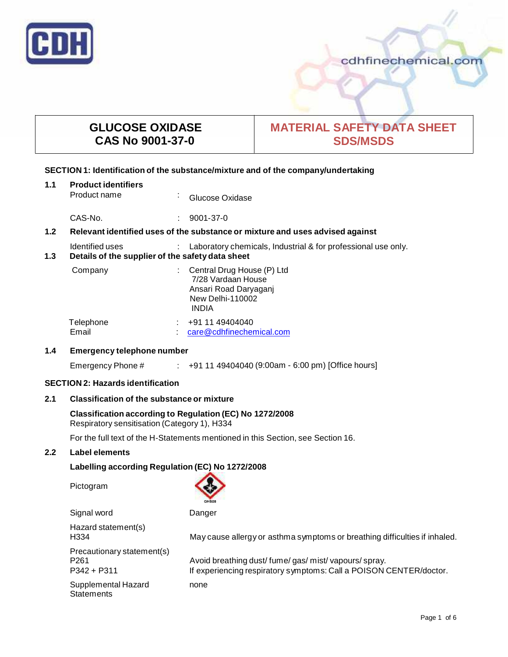

## cdhfinechemical.com

## **GLUCOSE OXIDASE CAS No 9001-37-0**

# **MATERIAL SAFETY DATA SHEET SDS/MSDS**

## **SECTION 1: Identification of the substance/mixture and of the company/undertaking**

| 1.1 | <b>Product identifiers</b><br>Product name                                                                                           | $\mathbf{r}$ | Glucose Oxidase                                                                                               |
|-----|--------------------------------------------------------------------------------------------------------------------------------------|--------------|---------------------------------------------------------------------------------------------------------------|
|     | CAS-No.                                                                                                                              |              | $9001 - 37 - 0$                                                                                               |
| 1.2 | Relevant identified uses of the substance or mixture and uses advised against                                                        |              |                                                                                                               |
| 1.3 | Identified uses<br>Laboratory chemicals, Industrial & for professional use only.<br>Details of the supplier of the safety data sheet |              |                                                                                                               |
|     | Company                                                                                                                              |              | Central Drug House (P) Ltd<br>7/28 Vardaan House<br>Ansari Road Daryaganj<br>New Delhi-110002<br><b>INDIA</b> |
|     | Telephone                                                                                                                            |              | +91 11 49404040                                                                                               |

Email : care@cdhfinechemical.com

## **1.4 Emergency telephone number**

Emergency Phone # : +91 11 49404040 (9:00am - 6:00 pm) [Office hours]

## **SECTION 2: Hazards identification**

## **2.1 Classification of the substance ormixture**

# **Classification according to Regulation (EC) No 1272/2008**

Respiratory sensitisation (Category 1), H334

For the full text of the H-Statements mentioned in this Section, see Section 16.

## **2.2 Label elements**

## **Labelling according Regulation (EC) No 1272/2008**

Pictogram



| Signal word                                                   | Danger                                                                                                                  |
|---------------------------------------------------------------|-------------------------------------------------------------------------------------------------------------------------|
| Hazard statement(s)<br>H334                                   | May cause allergy or asthma symptoms or breathing difficulties if inhaled.                                              |
| Precautionary statement(s)<br>P <sub>261</sub><br>P342 + P311 | Avoid breathing dust/fume/gas/mist/vapours/spray.<br>If experiencing respiratory symptoms: Call a POISON CENTER/doctor. |
| Supplemental Hazard<br><b>Statements</b>                      | none                                                                                                                    |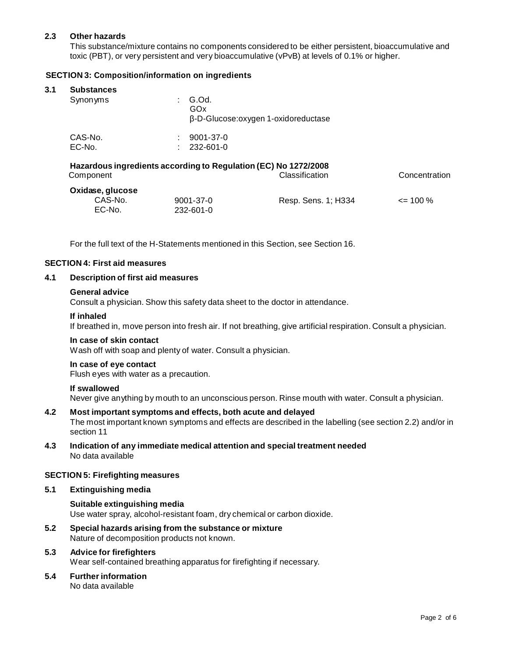## **2.3 Other hazards**

This substance/mixture contains no components considered to be either persistent, bioaccumulative and toxic (PBT), or very persistent and very bioaccumulative (vPvB) at levels of 0.1% or higher.

## **SECTION 3: Composition/information on ingredients**

## **3.1 Substances**

| oupolumoco<br>Synonyms |                    | $\therefore$ G.Od.<br>GOx<br>-D-Glucose:oxygen 1-oxidoreductase |
|------------------------|--------------------|-----------------------------------------------------------------|
| CAS-No.<br>EC-No.      | <b>All Control</b> | $: 9001 - 37 - 0$<br>232-601-0                                  |

#### **Hazardous ingredients according to Regulation (EC) No 1272/2008** Component Classification Concentration

| Oxidase, glucose  |                        |                     |              |  |
|-------------------|------------------------|---------------------|--------------|--|
| CAS-No.<br>EC-No. | 9001-37-0<br>232-601-0 | Resp. Sens. 1; H334 | $\leq$ 100 % |  |

For the full text of the H-Statements mentioned in this Section, see Section 16.

#### **SECTION 4: First aid measures**

## **4.1 Description of first aid measures**

#### **General advice**

Consult a physician. Show this safety data sheet to the doctor in attendance.

#### **If inhaled**

If breathed in, move person into fresh air. If not breathing, give artificial respiration. Consult a physician.

#### **In case of skin contact**

Wash off with soap and plenty of water. Consult a physician.

## **In case of eye contact**

Flush eyes with water as a precaution.

#### **If swallowed**

Never give anything by mouth to an unconscious person. Rinse mouth with water. Consult a physician.

#### **4.2 Most important symptoms and effects, both acute and delayed**

The most important known symptoms and effects are described in the labelling (see section 2.2) and/or in section 11

## **4.3 Indication of any immediate medical attention and special treatment needed** No data available

#### **SECTION 5: Firefighting measures**

#### **5.1 Extinguishing media**

**Suitable extinguishing media** Use water spray, alcohol-resistant foam, dry chemical or carbon dioxide.

**5.2 Special hazards arising from the substance ormixture** Nature of decomposition products not known.

## **5.3 Advice for firefighters** Wear self-contained breathing apparatus for firefighting if necessary.

**5.4 Further information** No data available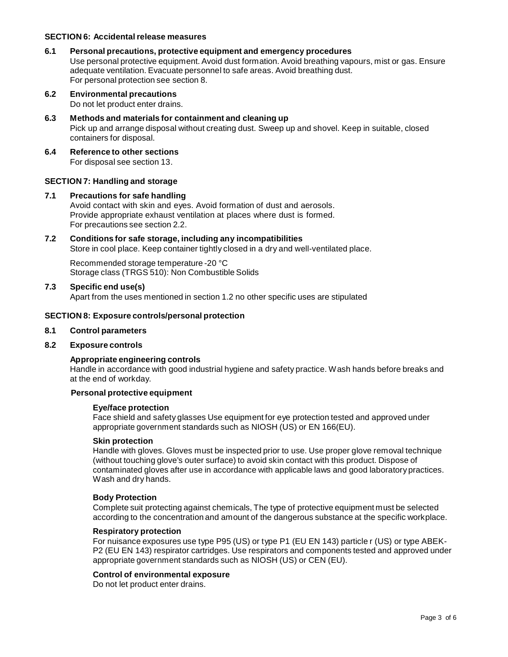## **SECTION 6: Accidentalrelease measures**

#### **6.1 Personal precautions, protective equipment and emergency procedures**

Use personal protective equipment. Avoid dust formation. Avoid breathing vapours, mist or gas. Ensure adequate ventilation. Evacuate personnel to safe areas. Avoid breathing dust. For personal protection see section 8.

- **6.2 Environmental precautions** Do not let product enter drains.
- **6.3 Methods and materials for containment and cleaning up** Pick up and arrange disposal without creating dust. Sweep up and shovel. Keep in suitable, closed containers for disposal.
- **6.4 Reference to other sections** For disposal see section 13.

## **SECTION 7: Handling and storage**

#### **7.1 Precautions for safe handling**

Avoid contact with skin and eyes. Avoid formation of dust and aerosols. Provide appropriate exhaust ventilation at places where dust is formed. For precautions see section 2.2.

**7.2 Conditions for safe storage, including any incompatibilities** Store in cool place. Keep container tightly closed in a dry and well-ventilated place.

Recommended storage temperature -20 °C Storage class (TRGS 510): Non Combustible Solids

**7.3 Specific end use(s)**

Apart from the uses mentioned in section 1.2 no other specific uses are stipulated

#### **SECTION 8: Exposure controls/personal protection**

#### **8.1 Control parameters**

#### **8.2 Exposure controls**

## **Appropriate engineering controls**

Handle in accordance with good industrial hygiene and safety practice. Wash hands before breaks and at the end of workday.

#### **Personal protective equipment**

#### **Eye/face protection**

Face shield and safety glasses Use equipment for eye protection tested and approved under appropriate government standards such as NIOSH (US) or EN 166(EU).

#### **Skin protection**

Handle with gloves. Gloves must be inspected prior to use. Use proper glove removal technique (without touching glove's outer surface) to avoid skin contact with this product. Dispose of contaminated gloves after use in accordance with applicable laws and good laboratory practices. Wash and dry hands.

#### **Body Protection**

Complete suit protecting against chemicals, The type of protective equipment must be selected according to the concentration and amount of the dangerous substance at the specific workplace.

#### **Respiratory protection**

For nuisance exposures use type P95 (US) or type P1 (EU EN 143) particle r (US) or type ABEK- P2 (EU EN 143) respirator cartridges. Use respirators and components tested and approved under appropriate government standards such as NIOSH (US) or CEN (EU).

### **Control of environmental exposure**

Do not let product enter drains.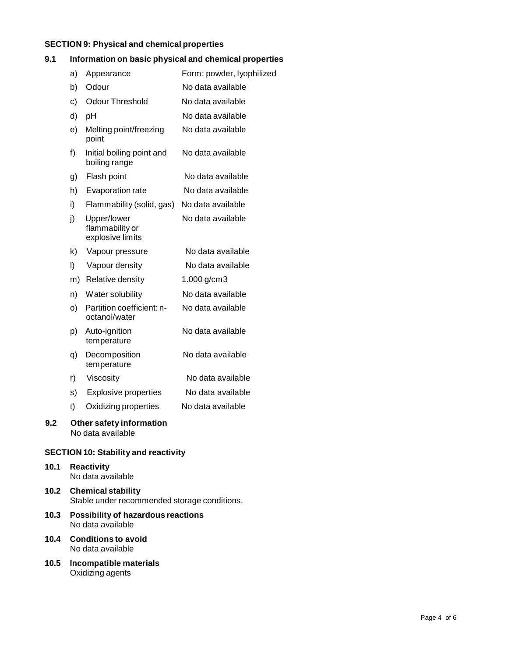## **SECTION 9: Physical and chemical properties**

## **9.1 Information on basic physical and chemical properties**

|     | a) | Appearance                                         | Form: powder, lyophilized |
|-----|----|----------------------------------------------------|---------------------------|
|     | b) | Odour                                              | No data available         |
|     | c) | <b>Odour Threshold</b>                             | No data available         |
|     | d) | pH                                                 | No data available         |
|     | e) | Melting point/freezing<br>point                    | No data available         |
|     | f) | Initial boiling point and<br>boiling range         | No data available         |
|     | g) | Flash point                                        | No data available         |
|     | h) | Evaporation rate                                   | No data available         |
|     | i) | Flammability (solid, gas)                          | No data available         |
|     | j) | Upper/lower<br>flammability or<br>explosive limits | No data available         |
|     | k) | Vapour pressure                                    | No data available         |
|     | I) | Vapour density                                     | No data available         |
|     | m) | Relative density                                   | 1.000 g/cm3               |
|     | n) | Water solubility                                   | No data available         |
|     | O) | Partition coefficient: n-<br>octanol/water         | No data available         |
|     | p) | Auto-ignition<br>temperature                       | No data available         |
|     | q) | Decomposition<br>temperature                       | No data available         |
|     | r) | Viscosity                                          | No data available         |
|     | s) | <b>Explosive properties</b>                        | No data available         |
|     | t) | Oxidizing properties                               | No data available         |
| 9.2 |    | Other safety information<br>No data available      |                           |

## **SECTION 10: Stability and reactivity**

#### **10.1 Reactivity** No data available

## **10.2 Chemical stability** Stable under recommended storage conditions.

- **10.3 Possibility of hazardous reactions** No data available
- **10.4 Conditions to avoid** No data available
- **10.5 Incompatible materials** Oxidizing agents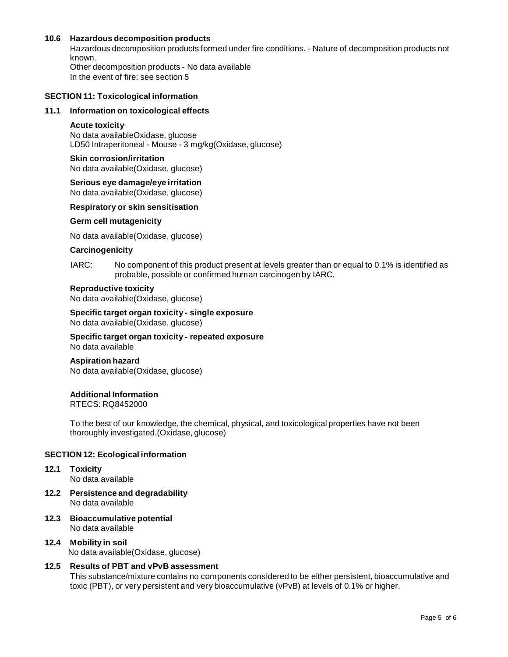## **10.6 Hazardous decomposition products**

Hazardous decomposition products formed under fire conditions. - Nature of decomposition products not known. Other decomposition products - No data available In the event of fire: see section 5

#### **SECTION 11: Toxicological information**

#### **11.1 Information on toxicological effects**

#### **Acute toxicity**

No data availableOxidase, glucose LD50 Intraperitoneal - Mouse - 3 mg/kg(Oxidase, glucose)

#### **Skin corrosion/irritation**

No data available(Oxidase, glucose)

## **Serious eye damage/eye irritation**

No data available(Oxidase, glucose)

#### **Respiratory orskin sensitisation**

#### **Germ cell mutagenicity**

No data available(Oxidase, glucose)

#### **Carcinogenicity**

IARC: No component of this product present at levels greater than or equal to 0.1% is identified as probable, possible or confirmed human carcinogen by IARC.

#### **Reproductive toxicity**

No data available(Oxidase, glucose)

#### **Specific target organ toxicity - single exposure**

No data available(Oxidase, glucose)

**Specific target organ toxicity - repeated exposure** No data available

# **Aspiration hazard**

No data available(Oxidase, glucose)

#### **Additional Information**

RTECS: RQ8452000

To the best of our knowledge, the chemical, physical, and toxicological properties have not been thoroughly investigated.(Oxidase, glucose)

## **SECTION 12: Ecological information**

## **12.1 Toxicity**

No data available

- **12.2 Persistence and degradability** No data available
- **12.3 Bioaccumulative potential** No data available
- **12.4 Mobility in soil** No data available(Oxidase, glucose)

## **12.5 Results of PBT and vPvB assessment**

This substance/mixture contains no components considered to be either persistent, bioaccumulative and toxic (PBT), or very persistent and very bioaccumulative (vPvB) at levels of 0.1% or higher.